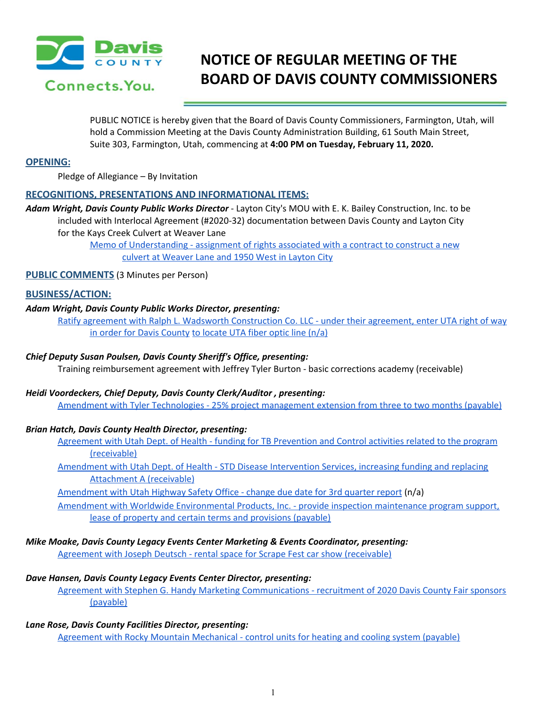

# **NOTICE OF REGULAR MEETING OF THE BOARD OF DAVIS COUNTY COMMISSIONERS**

PUBLIC NOTICE is hereby given that the Board of Davis County Commissioners, Farmington, Utah, will hold a Commission Meeting at the Davis County Administration Building, 61 South Main Street, Suite 303, Farmington, Utah, commencing at **4:00 PM on Tuesday, February 11, 2020.**

## **OPENING:**

Pledge of Allegiance – By Invitation

# **RECOGNITIONS, PRESENTATIONS AND INFORMATIONAL ITEMS:**

*Adam Wright, Davis County Public Works Director* - Layton City's MOU with E. K. Bailey Construction, Inc. to be included with Interlocal Agreement (#2020-32) documentation between Davis County and Layton City for the Kays Creek Culvert at Weaver Lane

> Memo of [Understanding](https://drive.google.com/a/co.davis.ut.us/file/d/11RQUPCFGgutPAcuwYpGMGIQXoBl-VHaX/view?usp=drivesdk) - assignment of rights associated with a contract to construct a new culvert at [Weaver](https://drive.google.com/a/co.davis.ut.us/file/d/11RQUPCFGgutPAcuwYpGMGIQXoBl-VHaX/view?usp=drivesdk) Lane and 1950 West in Layton City

## **PUBLIC COMMENTS** (3 Minutes per Person)

## **BUSINESS/ACTION:**

## *Adam Wright, Davis County Public Works Director, presenting:*

Ratify agreement with Ralph L. Wadsworth [Construction](https://drive.google.com/a/co.davis.ut.us/file/d/1w61mQb2uCgLjOBkiguL3pnV54DMUVThh/view?usp=drivesdk) Co. LLC - under their agreement, enter UTA right of way in order for Davis [County](https://drive.google.com/a/co.davis.ut.us/file/d/1w61mQb2uCgLjOBkiguL3pnV54DMUVThh/view?usp=drivesdk) to [locate](https://drive.google.com/a/co.davis.ut.us/file/d/1w61mQb2uCgLjOBkiguL3pnV54DMUVThh/view?usp=drivesdk) UTA fiber optic line (n/a)

#### *Chief Deputy Susan Poulsen, Davis County Sheriff's Office, presenting:*

Training reimbursement agreement with Jeffrey Tyler Burton - basic corrections academy (receivable)

#### *Heidi Voordeckers, Chief Deputy, Davis County Clerk/Auditor , presenting:*

Amendment with Tyler Technologies - 25% project [management](https://drive.google.com/a/co.davis.ut.us/file/d/1BSvIky5tnPiYEL09e5JqN1PU-GbUtuOp/view?usp=drivesdk) extension from three to two months (payable)

#### *Brian Hatch, Davis County Health Director, presenting:*

[Agreement](https://drive.google.com/a/co.davis.ut.us/file/d/1GlZV8o07B_5PyydHAACgrSFX9nlJdgkT/view?usp=drivesdk) with Utah Dept. of Health - funding for TB Prevention and Control activities related to the program [\(receivable\)](https://drive.google.com/a/co.davis.ut.us/file/d/1GlZV8o07B_5PyydHAACgrSFX9nlJdgkT/view?usp=drivesdk)

[Amendment](https://drive.google.com/a/co.davis.ut.us/file/d/1WlcYJKnLLNNjc6Uvx5RsrVwbWIQtTLPx/view?usp=drivesdk) with Utah Dept. of Health - STD Disease Intervention Services, increasing funding and replacing [Attachment](https://drive.google.com/a/co.davis.ut.us/file/d/1WlcYJKnLLNNjc6Uvx5RsrVwbWIQtTLPx/view?usp=drivesdk) A (receivable)

[Amendment](https://drive.google.com/a/co.davis.ut.us/file/d/1--y8UeyjPyAd6ek9nBAbZ4je0g97z8Tz/view?usp=drivesdk) with Utah Highway Safety Office - change due date for 3rd quarter report (n/a)

Amendment with Worldwide [Environmental](https://drive.google.com/a/co.davis.ut.us/file/d/1ZEfITBOY_pajFiyYhDNQew6M05h7fuic/view?usp=drivesdk) Products, Inc. - provide inspection maintenance program support, lease of property and certain terms and [provisions](https://drive.google.com/a/co.davis.ut.us/file/d/1ZEfITBOY_pajFiyYhDNQew6M05h7fuic/view?usp=drivesdk) (payable)

#### *Mike Moake, Davis County Legacy Events Center Marketing & Events Coordinator, presenting:*

Agreement with Joseph Deutsch - rental space for Scrape Fest car show [\(receivable\)](https://drive.google.com/a/co.davis.ut.us/file/d/1wYCnub53dd3dCJrLq_dXgE3FXI4MNRNA/view?usp=drivesdk)

#### *Dave Hansen, Davis County Legacy Events Center Director, presenting:*

Agreement with Stephen G. Handy Marketing [Communications](https://drive.google.com/a/co.davis.ut.us/file/d/1H4LeF_K91Rs11UrGzyvC0Bdre9igM6Zb/view?usp=drivesdk) - recruitment of 2020 Davis County Fair sponsors [\(payable\)](https://drive.google.com/a/co.davis.ut.us/file/d/1H4LeF_K91Rs11UrGzyvC0Bdre9igM6Zb/view?usp=drivesdk)

# *Lane Rose, Davis County Facilities Director, presenting:*

Agreement with Rocky Mountain [Mechanical](https://drive.google.com/a/co.davis.ut.us/file/d/121N5y5dcdfVF7XVG0DiF3FTlGhH0oS2z/view?usp=drivesdk) - control units for heating and cooling system (payable[\)](https://drive.google.com/a/co.davis.ut.us/file/d/121N5y5dcdfVF7XVG0DiF3FTlGhH0oS2z/view?usp=drivesdk)